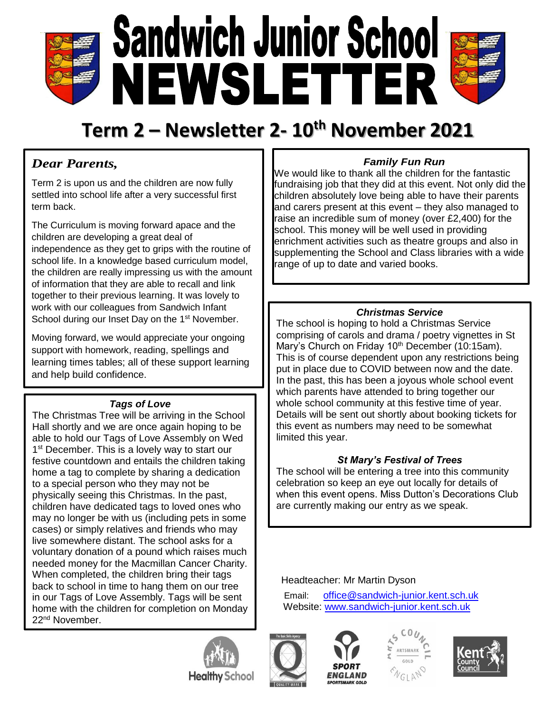

# **Term 2 – Newsletter 2- 10th November 2021**

## *Dear Parents,*

Term 2 is upon us and the children are now fully settled into school life after a very successful first term back.

The Curriculum is moving forward apace and the children are developing a great deal of independence as they get to grips with the routine of school life. In a knowledge based curriculum model, the children are really impressing us with the amount of information that they are able to recall and link together to their previous learning. It was lovely to work with our colleagues from Sandwich Infant School during our Inset Day on the 1<sup>st</sup> November.

Moving forward, we would appreciate your ongoing support with homework, reading, spellings and learning times tables; all of these support learning and help build confidence.

#### *Tags of Love*

The Christmas Tree will be arriving in the School Hall shortly and we are once again hoping to be able to hold our Tags of Love Assembly on Wed 1<sup>st</sup> December. This is a lovely way to start our festive countdown and entails the children taking home a tag to complete by sharing a dedication to a special person who they may not be physically seeing this Christmas. In the past, children have dedicated tags to loved ones who may no longer be with us (including pets in some cases) or simply relatives and friends who may live somewhere distant. The school asks for a voluntary donation of a pound which raises much needed money for the Macmillan Cancer Charity. When completed, the children bring their tags back to school in time to hang them on our tree in our Tags of Love Assembly. Tags will be sent home with the children for completion on Monday 22<sup>nd</sup> November.

## *Family Fun Run*

We would like to thank all the children for the fantastic fundraising job that they did at this event. Not only did the children absolutely love being able to have their parents and carers present at this event – they also managed to raise an incredible sum of money (over £2,400) for the school. This money will be well used in providing enrichment activities such as theatre groups and also in supplementing the School and Class libraries with a wide range of up to date and varied books.

### *Christmas Service*

The school is hoping to hold a Christmas Service comprising of carols and drama / poetry vignettes in St Mary's Church on Friday 10<sup>th</sup> December (10:15am). This is of course dependent upon any restrictions being put in place due to COVID between now and the date. In the past, this has been a joyous whole school event which parents have attended to bring together our whole school community at this festive time of year. Details will be sent out shortly about booking tickets for this event as numbers may need to be somewhat limited this year.

#### *St Mary's Festival of Trees*

The school will be entering a tree into this community celebration so keep an eye out locally for details of when this event opens. Miss Dutton's Decorations Club are currently making our entry as we speak.

Headteacher: Mr Martin Dyson

Email: [office@sandwich-junior.kent.sch.uk](mailto:office@sandwich-junior.kent.sch.uk) Website: [www.sandwich-junior.kent.sch.uk](http://www.sandwich-junior.kent.sch.uk/)